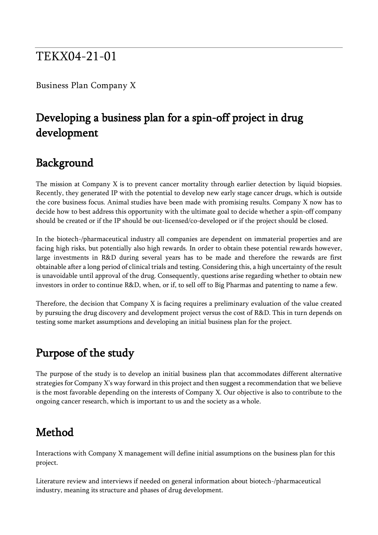#### TEKX04-21-01

Business Plan Company X

## Developing a business plan for a spin-off project in drug development

#### Background

The mission at Company X is to prevent cancer mortality through earlier detection by liquid biopsies. Recently, they generated IP with the potential to develop new early stage cancer drugs, which is outside the core business focus. Animal studies have been made with promising results. Company X now has to decide how to best address this opportunity with the ultimate goal to decide whether a spin-off company should be created or if the IP should be out-licensed/co-developed or if the project should be closed.

In the biotech-/pharmaceutical industry all companies are dependent on immaterial properties and are facing high risks, but potentially also high rewards. In order to obtain these potential rewards however, large investments in R&D during several years has to be made and therefore the rewards are first obtainable after a long period of clinical trials and testing. Considering this, a high uncertainty of the result is unavoidable until approval of the drug. Consequently, questions arise regarding whether to obtain new investors in order to continue R&D, when, or if, to sell off to Big Pharmas and patenting to name a few.

Therefore, the decision that Company X is facing requires a preliminary evaluation of the value created by pursuing the drug discovery and development project versus the cost of R&D. This in turn depends on testing some market assumptions and developing an initial business plan for the project.

#### Purpose of the study

The purpose of the study is to develop an initial business plan that accommodates different alternative strategies for Company X's way forward in this project and then suggest a recommendation that we believe is the most favorable depending on the interests of Company X. Our objective is also to contribute to the ongoing cancer research, which is important to us and the society as a whole.

### Method

Interactions with Company X management will define initial assumptions on the business plan for this project.

Literature review and interviews if needed on general information about biotech-/pharmaceutical industry, meaning its structure and phases of drug development.